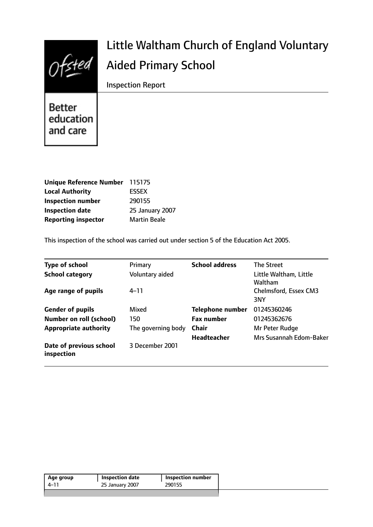|        | Little Waltham Church of England Voluntary |
|--------|--------------------------------------------|
| Ofsted | <b>Aided Primary School</b>                |
|        | <b>Inspection Report</b>                   |

# **Better** education and care

| Unique Reference Number 115175 |                     |
|--------------------------------|---------------------|
| <b>Local Authority</b>         | <b>ESSEX</b>        |
| <b>Inspection number</b>       | 290155              |
| <b>Inspection date</b>         | 25 January 2007     |
| <b>Reporting inspector</b>     | <b>Martin Beale</b> |

This inspection of the school was carried out under section 5 of the Education Act 2005.

| <b>Type of school</b>                 | Primary            | <b>School address</b>   | <b>The Street</b>                 |
|---------------------------------------|--------------------|-------------------------|-----------------------------------|
| <b>School category</b>                | Voluntary aided    |                         | Little Waltham, Little<br>Waltham |
| Age range of pupils                   | $4 - 11$           |                         | Chelmsford, Essex CM3<br>3NY      |
| <b>Gender of pupils</b>               | Mixed              | <b>Telephone number</b> | 01245360246                       |
| <b>Number on roll (school)</b>        | 150                | <b>Fax number</b>       | 01245362676                       |
| <b>Appropriate authority</b>          | The governing body | Chair                   | Mr Peter Rudge                    |
|                                       |                    | <b>Headteacher</b>      | Mrs Susannah Edom-Baker           |
| Date of previous school<br>inspection | 3 December 2001    |                         |                                   |

| Age group | Inspection date | Inspection number |
|-----------|-----------------|-------------------|
| 4–11      | 25 January 2007 | 290155            |
|           |                 |                   |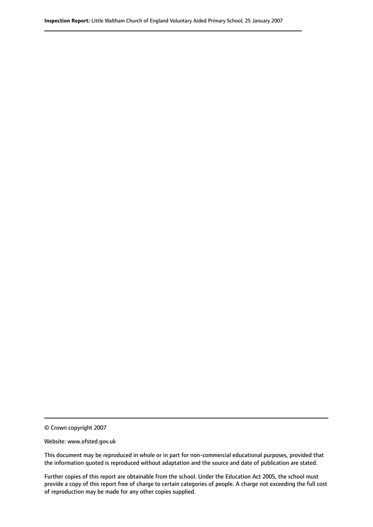© Crown copyright 2007

Website: www.ofsted.gov.uk

This document may be reproduced in whole or in part for non-commercial educational purposes, provided that the information quoted is reproduced without adaptation and the source and date of publication are stated.

Further copies of this report are obtainable from the school. Under the Education Act 2005, the school must provide a copy of this report free of charge to certain categories of people. A charge not exceeding the full cost of reproduction may be made for any other copies supplied.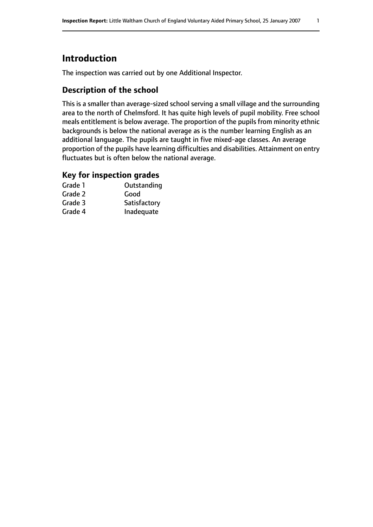# **Introduction**

The inspection was carried out by one Additional Inspector.

### **Description of the school**

This is a smaller than average-sized school serving a small village and the surrounding area to the north of Chelmsford. It has quite high levels of pupil mobility. Free school meals entitlement is below average. The proportion of the pupils from minority ethnic backgrounds is below the national average as is the number learning English as an additional language. The pupils are taught in five mixed-age classes. An average proportion of the pupils have learning difficulties and disabilities. Attainment on entry fluctuates but is often below the national average.

#### **Key for inspection grades**

| Grade 1 | Outstanding  |
|---------|--------------|
| Grade 2 | Good         |
| Grade 3 | Satisfactory |
| Grade 4 | Inadequate   |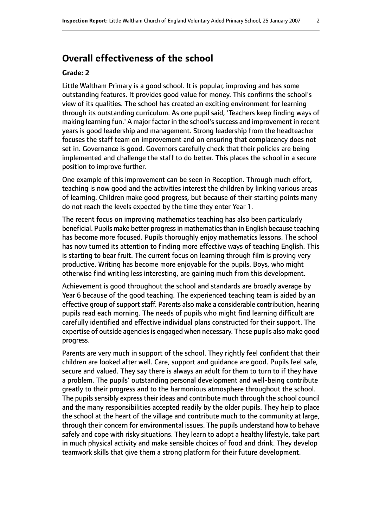# **Overall effectiveness of the school**

#### **Grade: 2**

Little Waltham Primary is a good school. It is popular, improving and has some outstanding features. It provides good value for money. This confirms the school's view of its qualities. The school has created an exciting environment for learning through its outstanding curriculum. As one pupil said, 'Teachers keep finding ways of making learning fun.' A major factor in the school's success and improvement in recent years is good leadership and management. Strong leadership from the headteacher focuses the staff team on improvement and on ensuring that complacency does not set in. Governance is good. Governors carefully check that their policies are being implemented and challenge the staff to do better. This places the school in a secure position to improve further.

One example of this improvement can be seen in Reception. Through much effort, teaching is now good and the activities interest the children by linking various areas of learning. Children make good progress, but because of their starting points many do not reach the levels expected by the time they enter Year 1.

The recent focus on improving mathematics teaching has also been particularly beneficial. Pupils make better progress in mathematics than in English because teaching has become more focused. Pupils thoroughly enjoy mathematics lessons. The school has now turned its attention to finding more effective ways of teaching English. This is starting to bear fruit. The current focus on learning through film is proving very productive. Writing has become more enjoyable for the pupils. Boys, who might otherwise find writing less interesting, are gaining much from this development.

Achievement is good throughout the school and standards are broadly average by Year 6 because of the good teaching. The experienced teaching team is aided by an effective group of support staff. Parents also make a considerable contribution, hearing pupils read each morning. The needs of pupils who might find learning difficult are carefully identified and effective individual plans constructed for their support. The expertise of outside agencies is engaged when necessary. These pupils also make good progress.

Parents are very much in support of the school. They rightly feel confident that their children are looked after well. Care, support and guidance are good. Pupils feel safe, secure and valued. They say there is always an adult for them to turn to if they have a problem. The pupils' outstanding personal development and well-being contribute greatly to their progress and to the harmonious atmosphere throughout the school. The pupils sensibly express their ideas and contribute much through the school council and the many responsibilities accepted readily by the older pupils. They help to place the school at the heart of the village and contribute much to the community at large, through their concern for environmental issues. The pupils understand how to behave safely and cope with risky situations. They learn to adopt a healthy lifestyle, take part in much physical activity and make sensible choices of food and drink. They develop teamwork skills that give them a strong platform for their future development.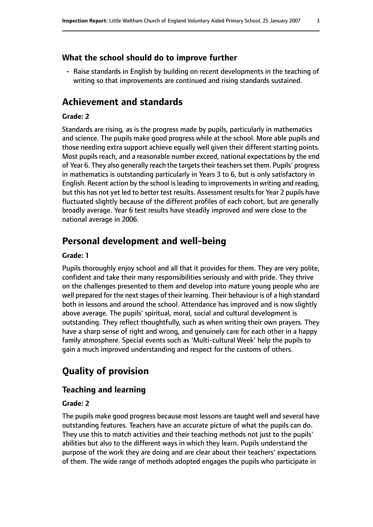#### **What the school should do to improve further**

• Raise standards in English by building on recent developments in the teaching of writing so that improvements are continued and rising standards sustained.

## **Achievement and standards**

#### **Grade: 2**

Standards are rising, as is the progress made by pupils, particularly in mathematics and science. The pupils make good progress while at the school. More able pupils and those needing extra support achieve equally well given their different starting points. Most pupils reach, and a reasonable number exceed, national expectations by the end of Year 6. They also generally reach the targets their teachers set them. Pupils' progress in mathematics is outstanding particularly in Years 3 to 6, but is only satisfactory in English. Recent action by the school is leading to improvements in writing and reading, but this has not yet led to better test results. Assessment results for Year 2 pupils have fluctuated slightly because of the different profiles of each cohort, but are generally broadly average. Year 6 test results have steadily improved and were close to the national average in 2006.

### **Personal development and well-being**

#### **Grade: 1**

Pupils thoroughly enjoy school and all that it provides for them. They are very polite, confident and take their many responsibilities seriously and with pride. They thrive on the challenges presented to them and develop into mature young people who are well prepared for the next stages of their learning. Their behaviour is of a high standard both in lessons and around the school. Attendance has improved and is now slightly above average. The pupils' spiritual, moral, social and cultural development is outstanding. They reflect thoughtfully, such as when writing their own prayers. They have a sharp sense of right and wrong, and genuinely care for each other in a happy family atmosphere. Special events such as 'Multi-cultural Week' help the pupils to gain a much improved understanding and respect for the customs of others.

# **Quality of provision**

#### **Teaching and learning**

#### **Grade: 2**

The pupils make good progress because most lessons are taught well and several have outstanding features. Teachers have an accurate picture of what the pupils can do. They use this to match activities and their teaching methods not just to the pupils' abilities but also to the different ways in which they learn. Pupils understand the purpose of the work they are doing and are clear about their teachers' expectations of them. The wide range of methods adopted engages the pupils who participate in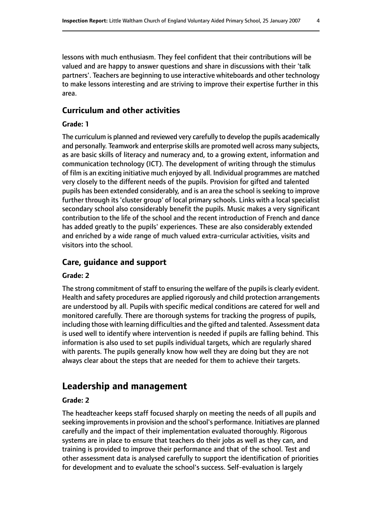lessons with much enthusiasm. They feel confident that their contributions will be valued and are happy to answer questions and share in discussions with their 'talk partners'. Teachers are beginning to use interactive whiteboards and other technology to make lessons interesting and are striving to improve their expertise further in this area.

### **Curriculum and other activities**

#### **Grade: 1**

The curriculum is planned and reviewed very carefully to develop the pupils academically and personally. Teamwork and enterprise skills are promoted well across many subjects, as are basic skills of literacy and numeracy and, to a growing extent, information and communication technology (ICT). The development of writing through the stimulus of film is an exciting initiative much enjoyed by all. Individual programmes are matched very closely to the different needs of the pupils. Provision for gifted and talented pupils has been extended considerably, and is an area the school is seeking to improve further through its 'cluster group' of local primary schools. Links with a local specialist secondary school also considerably benefit the pupils. Music makes a very significant contribution to the life of the school and the recent introduction of French and dance has added greatly to the pupils' experiences. These are also considerably extended and enriched by a wide range of much valued extra-curricular activities, visits and visitors into the school.

#### **Care, guidance and support**

#### **Grade: 2**

The strong commitment of staff to ensuring the welfare of the pupils is clearly evident. Health and safety procedures are applied rigorously and child protection arrangements are understood by all. Pupils with specific medical conditions are catered for well and monitored carefully. There are thorough systems for tracking the progress of pupils, including those with learning difficulties and the gifted and talented. Assessment data is used well to identify where intervention is needed if pupils are falling behind. This information is also used to set pupils individual targets, which are regularly shared with parents. The pupils generally know how well they are doing but they are not always clear about the steps that are needed for them to achieve their targets.

# **Leadership and management**

#### **Grade: 2**

The headteacher keeps staff focused sharply on meeting the needs of all pupils and seeking improvements in provision and the school's performance. Initiatives are planned carefully and the impact of their implementation evaluated thoroughly. Rigorous systems are in place to ensure that teachers do their jobs as well as they can, and training is provided to improve their performance and that of the school. Test and other assessment data is analysed carefully to support the identification of priorities for development and to evaluate the school's success. Self-evaluation is largely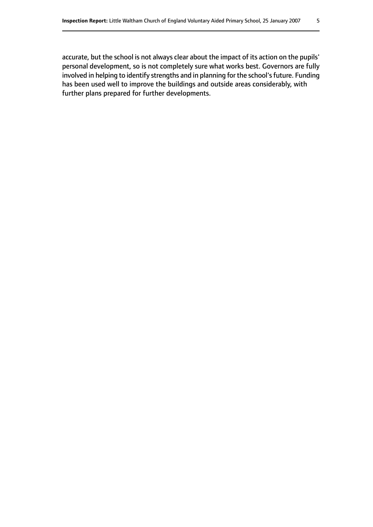accurate, but the school is not always clear about the impact of its action on the pupils' personal development, so is not completely sure what works best. Governors are fully involved in helping to identify strengths and in planning for the school's future. Funding has been used well to improve the buildings and outside areas considerably, with further plans prepared for further developments.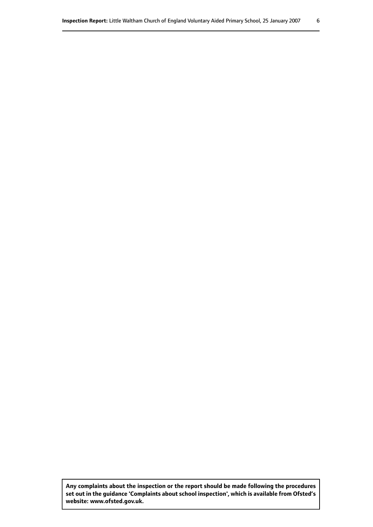**Any complaints about the inspection or the report should be made following the procedures set out inthe guidance 'Complaints about school inspection', whichis available from Ofsted's website: www.ofsted.gov.uk.**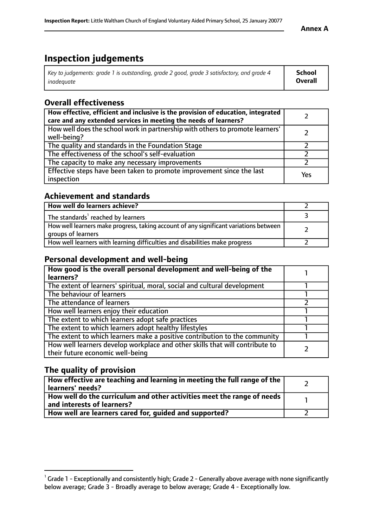#### **Annex A**

# **Inspection judgements**

| Key to judgements: grade 1 is outstanding, grade 2 good, grade 3 satisfactory, and grade 4 | School         |
|--------------------------------------------------------------------------------------------|----------------|
| inadeauate                                                                                 | <b>Overall</b> |

# **Overall effectiveness**

| How effective, efficient and inclusive is the provision of education, integrated<br>care and any extended services in meeting the needs of learners? |     |
|------------------------------------------------------------------------------------------------------------------------------------------------------|-----|
| How well does the school work in partnership with others to promote learners'<br>well-being?                                                         |     |
| The quality and standards in the Foundation Stage                                                                                                    |     |
| The effectiveness of the school's self-evaluation                                                                                                    |     |
| The capacity to make any necessary improvements                                                                                                      |     |
| Effective steps have been taken to promote improvement since the last<br>inspection                                                                  | Yes |

# **Achievement and standards**

| How well do learners achieve?                                                                               |  |
|-------------------------------------------------------------------------------------------------------------|--|
| The standards <sup>1</sup> reached by learners                                                              |  |
| How well learners make progress, taking account of any significant variations between<br>groups of learners |  |
| How well learners with learning difficulties and disabilities make progress                                 |  |

# **Personal development and well-being**

| How good is the overall personal development and well-being of the<br>learners?                                  |  |
|------------------------------------------------------------------------------------------------------------------|--|
|                                                                                                                  |  |
| The extent of learners' spiritual, moral, social and cultural development                                        |  |
| The behaviour of learners                                                                                        |  |
| The attendance of learners                                                                                       |  |
| How well learners enjoy their education                                                                          |  |
| The extent to which learners adopt safe practices                                                                |  |
| The extent to which learners adopt healthy lifestyles                                                            |  |
| The extent to which learners make a positive contribution to the community                                       |  |
| How well learners develop workplace and other skills that will contribute to<br>their future economic well-being |  |

# **The quality of provision**

| How effective are teaching and learning in meeting the full range of the<br>learners' needs?          |  |
|-------------------------------------------------------------------------------------------------------|--|
| How well do the curriculum and other activities meet the range of needs<br>and interests of learners? |  |
| How well are learners cared for, guided and supported?                                                |  |

 $^1$  Grade 1 - Exceptionally and consistently high; Grade 2 - Generally above average with none significantly below average; Grade 3 - Broadly average to below average; Grade 4 - Exceptionally low.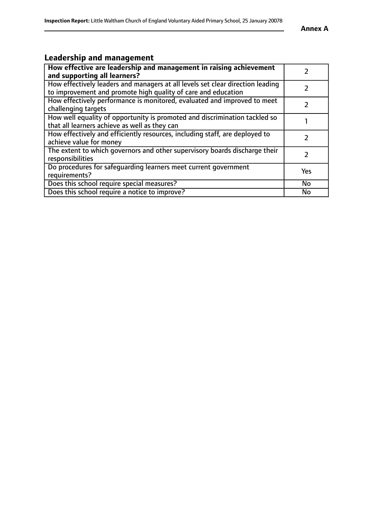# **Leadership and management**

| How effective are leadership and management in raising achievement<br>and supporting all learners?                                              |           |
|-------------------------------------------------------------------------------------------------------------------------------------------------|-----------|
| How effectively leaders and managers at all levels set clear direction leading<br>to improvement and promote high quality of care and education |           |
| How effectively performance is monitored, evaluated and improved to meet<br>challenging targets                                                 |           |
| How well equality of opportunity is promoted and discrimination tackled so<br>that all learners achieve as well as they can                     |           |
| How effectively and efficiently resources, including staff, are deployed to<br>achieve value for money                                          |           |
| The extent to which governors and other supervisory boards discharge their<br>responsibilities                                                  |           |
| Do procedures for safequarding learners meet current government<br>requirements?                                                                | Yes       |
| Does this school require special measures?                                                                                                      | <b>No</b> |
| Does this school require a notice to improve?                                                                                                   | No        |